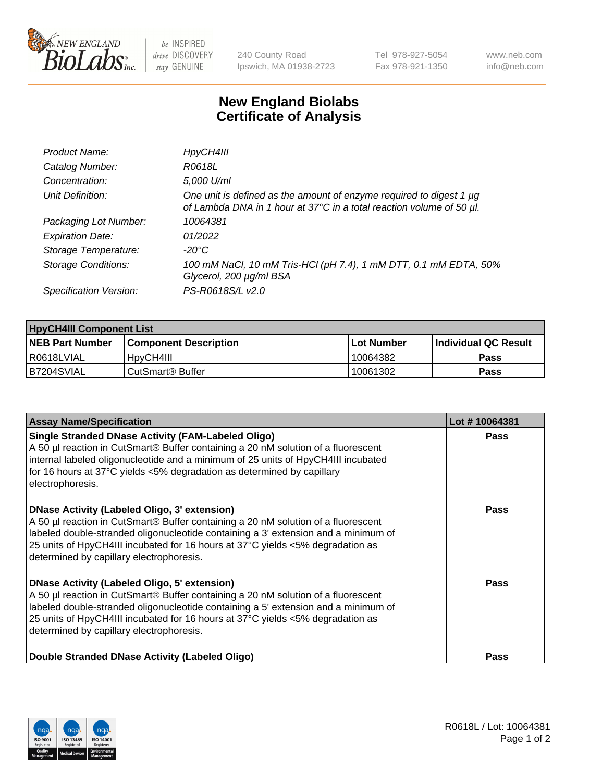

 $be$  INSPIRED drive DISCOVERY stay GENUINE

240 County Road Ipswich, MA 01938-2723 Tel 978-927-5054 Fax 978-921-1350 www.neb.com info@neb.com

## **New England Biolabs Certificate of Analysis**

| Product Name:              | HpyCH4III                                                                                                                                        |
|----------------------------|--------------------------------------------------------------------------------------------------------------------------------------------------|
| Catalog Number:            | R0618L                                                                                                                                           |
| Concentration:             | 5,000 U/ml                                                                                                                                       |
| Unit Definition:           | One unit is defined as the amount of enzyme required to digest 1 $\mu$ g<br>of Lambda DNA in 1 hour at 37°C in a total reaction volume of 50 µl. |
| Packaging Lot Number:      | 10064381                                                                                                                                         |
| <b>Expiration Date:</b>    | 01/2022                                                                                                                                          |
| Storage Temperature:       | $-20^{\circ}$ C                                                                                                                                  |
| <b>Storage Conditions:</b> | 100 mM NaCl, 10 mM Tris-HCl (pH 7.4), 1 mM DTT, 0.1 mM EDTA, 50%<br>Glycerol, 200 µg/ml BSA                                                      |
| Specification Version:     | PS-R0618S/L v2.0                                                                                                                                 |

| <b>HpyCH4III Component List</b> |                              |                   |                             |  |  |
|---------------------------------|------------------------------|-------------------|-----------------------------|--|--|
| <b>NEB Part Number</b>          | <b>Component Description</b> | <b>Lot Number</b> | <b>Individual QC Result</b> |  |  |
| I R0618LVIAL                    | 'HpyCH4III                   | 10064382          | <b>Pass</b>                 |  |  |
| B7204SVIAL                      | l CutSmart® Buffer           | 10061302          | Pass                        |  |  |

| <b>Assay Name/Specification</b>                                                                                                                                                                                                                                                                                                                              | Lot #10064381 |
|--------------------------------------------------------------------------------------------------------------------------------------------------------------------------------------------------------------------------------------------------------------------------------------------------------------------------------------------------------------|---------------|
| <b>Single Stranded DNase Activity (FAM-Labeled Oligo)</b><br>A 50 µl reaction in CutSmart® Buffer containing a 20 nM solution of a fluorescent<br>internal labeled oligonucleotide and a minimum of 25 units of HpyCH4III incubated<br>for 16 hours at 37°C yields <5% degradation as determined by capillary<br>electrophoresis.                            | Pass          |
| <b>DNase Activity (Labeled Oligo, 3' extension)</b><br>A 50 µl reaction in CutSmart® Buffer containing a 20 nM solution of a fluorescent<br>labeled double-stranded oligonucleotide containing a 3' extension and a minimum of<br>25 units of HpyCH4III incubated for 16 hours at 37°C yields <5% degradation as<br>determined by capillary electrophoresis. | Pass          |
| <b>DNase Activity (Labeled Oligo, 5' extension)</b><br>A 50 µl reaction in CutSmart® Buffer containing a 20 nM solution of a fluorescent<br>labeled double-stranded oligonucleotide containing a 5' extension and a minimum of<br>25 units of HpyCH4III incubated for 16 hours at 37°C yields <5% degradation as<br>determined by capillary electrophoresis. | <b>Pass</b>   |
| Double Stranded DNase Activity (Labeled Oligo)                                                                                                                                                                                                                                                                                                               | Pass          |